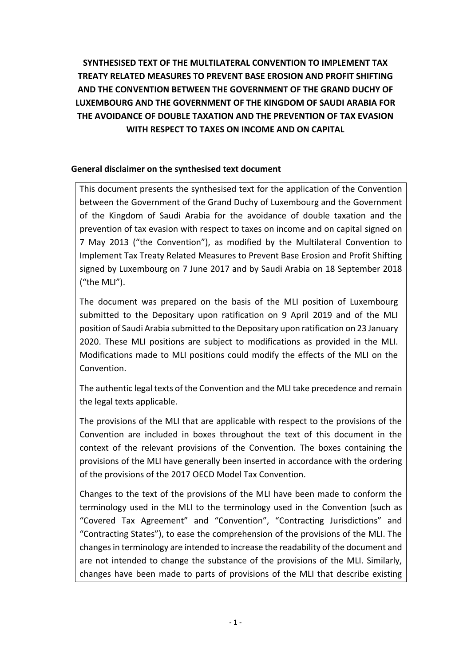# **SYNTHESISED TEXT OF THE MULTILATERAL CONVENTION TO IMPLEMENT TAX TREATY RELATED MEASURES TO PREVENT BASE EROSION AND PROFIT SHIFTING AND THE CONVENTION BETWEEN THE GOVERNMENT OF THE GRAND DUCHY OF LUXEMBOURG AND THE GOVERNMENT OF THE KINGDOM OF SAUDI ARABIA FOR THE AVOIDANCE OF DOUBLE TAXATION AND THE PREVENTION OF TAX EVASION WITH RESPECT TO TAXES ON INCOME AND ON CAPITAL**

### **General disclaimer on the synthesised text document**

This document presents the synthesised text for the application of the Convention between the Government of the Grand Duchy of Luxembourg and the Government of the Kingdom of Saudi Arabia for the avoidance of double taxation and the prevention of tax evasion with respect to taxes on income and on capital signed on 7 May 2013 ("the Convention"), as modified by the Multilateral Convention to Implement Tax Treaty Related Measures to Prevent Base Erosion and Profit Shifting signed by Luxembourg on 7 June 2017 and by Saudi Arabia on 18 September 2018 ("the MLI").

The document was prepared on the basis of the MLI position of Luxembourg submitted to the Depositary upon ratification on 9 April 2019 and of the MLI position of Saudi Arabia submitted to the Depositary upon ratification on 23 January 2020. These MLI positions are subject to modifications as provided in the MLI. Modifications made to MLI positions could modify the effects of the MLI on the Convention.

The authentic legal texts of the Convention and the MLI take precedence and remain the legal texts applicable.

The provisions of the MLI that are applicable with respect to the provisions of the Convention are included in boxes throughout the text of this document in the context of the relevant provisions of the Convention. The boxes containing the provisions of the MLI have generally been inserted in accordance with the ordering of the provisions of the 2017 OECD Model Tax Convention.

Changes to the text of the provisions of the MLI have been made to conform the terminology used in the MLI to the terminology used in the Convention (such as "Covered Tax Agreement" and "Convention", "Contracting Jurisdictions" and "Contracting States"), to ease the comprehension of the provisions of the MLI. The changes in terminology are intended to increase the readability of the document and are not intended to change the substance of the provisions of the MLI. Similarly, changes have been made to parts of provisions of the MLI that describe existing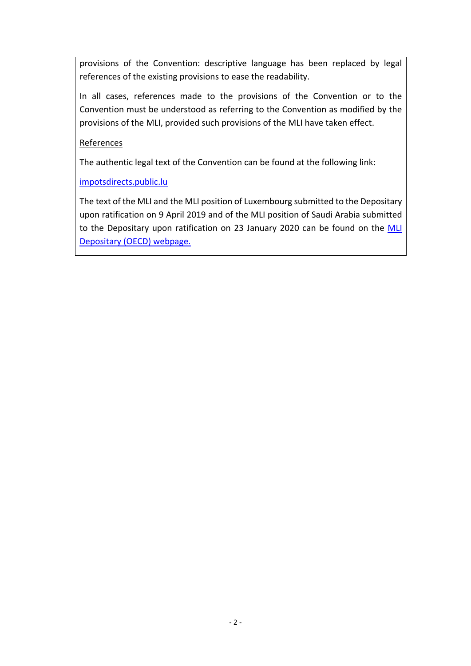provisions of the Convention: descriptive language has been replaced by legal references of the existing provisions to ease the readability.

In all cases, references made to the provisions of the Convention or to the Convention must be understood as referring to the Convention as modified by the provisions of the MLI, provided such provisions of the MLI have taken effect.

### References

The authentic legal text of the Convention can be found at the following link:

[impotsdirects.public.lu](https://impotsdirects.public.lu/fr.html)

The text of the MLI and the MLI position of Luxembourg submitted to the Depositary upon ratification on 9 April 2019 and of the MLI position of Saudi Arabia submitted to the Depositary upon ratification on 23 January 2020 can be found on the MLI [Depositary \(OECD\) webpage.](https://www.oecd.org/tax/treaties/multilateral-convention-to-implement-tax-treaty-related-measures-to-prevent-beps.htm)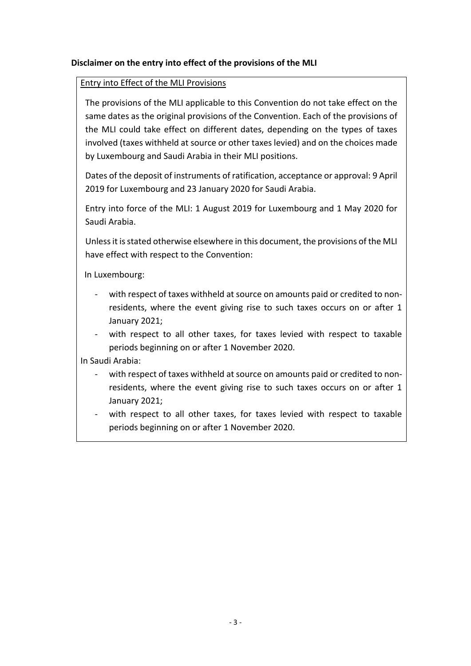### **Disclaimer on the entry into effect of the provisions of the MLI**

### Entry into Effect of the MLI Provisions

The provisions of the MLI applicable to this Convention do not take effect on the same dates as the original provisions of the Convention. Each of the provisions of the MLI could take effect on different dates, depending on the types of taxes involved (taxes withheld at source or other taxes levied) and on the choices made by Luxembourg and Saudi Arabia in their MLI positions.

Dates of the deposit of instruments of ratification, acceptance or approval: 9 April 2019 for Luxembourg and 23 January 2020 for Saudi Arabia.

Entry into force of the MLI: 1 August 2019 for Luxembourg and 1 May 2020 for Saudi Arabia.

Unless it is stated otherwise elsewhere in this document, the provisions of the MLI have effect with respect to the Convention:

In Luxembourg:

- with respect of taxes withheld at source on amounts paid or credited to nonresidents, where the event giving rise to such taxes occurs on or after 1 January 2021;
- with respect to all other taxes, for taxes levied with respect to taxable periods beginning on or after 1 November 2020.

In Saudi Arabia:

- with respect of taxes withheld at source on amounts paid or credited to nonresidents, where the event giving rise to such taxes occurs on or after 1 January 2021;
- with respect to all other taxes, for taxes levied with respect to taxable periods beginning on or after 1 November 2020.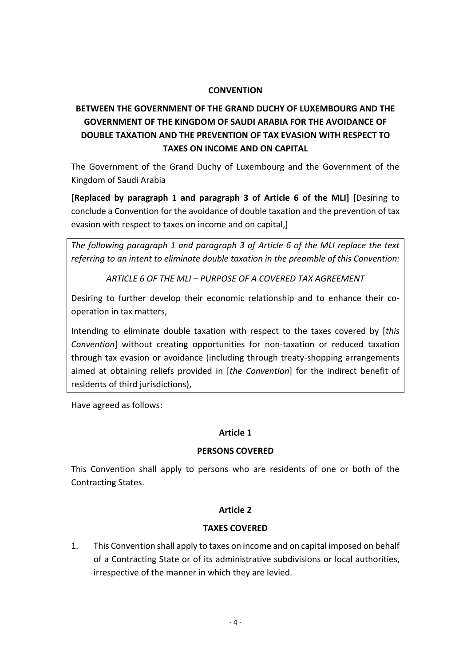#### **CONVENTION**

# **BETWEEN THE GOVERNMENT OF THE GRAND DUCHY OF LUXEMBOURG AND THE GOVERNMENT OF THE KINGDOM OF SAUDI ARABIA FOR THE AVOIDANCE OF DOUBLE TAXATION AND THE PREVENTION OF TAX EVASION WITH RESPECT TO TAXES ON INCOME AND ON CAPITAL**

The Government of the Grand Duchy of Luxembourg and the Government of the Kingdom of Saudi Arabia

**[Replaced by paragraph 1 and paragraph 3 of Article 6 of the MLI]** [Desiring to conclude a Convention for the avoidance of double taxation and the prevention of tax evasion with respect to taxes on income and on capital,]

*The following paragraph 1 and paragraph 3 of Article 6 of the MLI replace the text referring to an intent to eliminate double taxation in the preamble of this Convention:*

*ARTICLE 6 OF THE MLI – PURPOSE OF A COVERED TAX AGREEMENT*

Desiring to further develop their economic relationship and to enhance their cooperation in tax matters,

Intending to eliminate double taxation with respect to the taxes covered by [*this Convention*] without creating opportunities for non-taxation or reduced taxation through tax evasion or avoidance (including through treaty-shopping arrangements aimed at obtaining reliefs provided in [*the Convention*] for the indirect benefit of residents of third jurisdictions),

Have agreed as follows:

### **Article 1**

### **PERSONS COVERED**

This Convention shall apply to persons who are residents of one or both of the Contracting States.

### **Article 2**

### **TAXES COVERED**

1. This Convention shall apply to taxes on income and on capital imposed on behalf of a Contracting State or of its administrative subdivisions or local authorities, irrespective of the manner in which they are levied.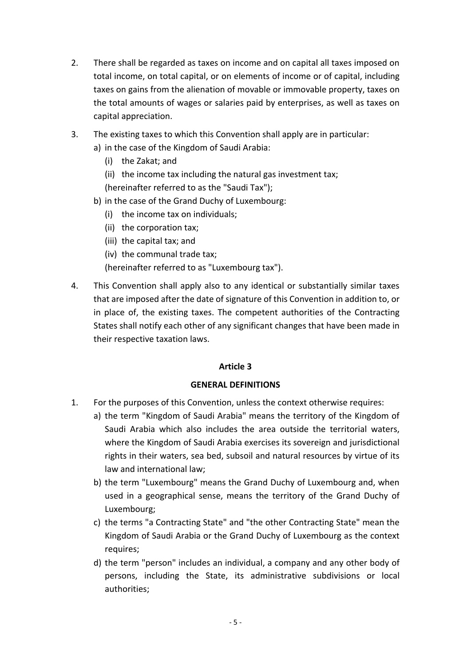- 2. There shall be regarded as taxes on income and on capital all taxes imposed on total income, on total capital, or on elements of income or of capital, including taxes on gains from the alienation of movable or immovable property, taxes on the total amounts of wages or salaries paid by enterprises, as well as taxes on capital appreciation.
- 3. The existing taxes to which this Convention shall apply are in particular:
	- a) in the case of the Kingdom of Saudi Arabia:
		- (i) the Zakat; and
		- (ii) the income tax including the natural gas investment tax; (hereinafter referred to as the "Saudi Tax");
	- b) in the case of the Grand Duchy of Luxembourg:
		- (i) the income tax on individuals;
		- (ii) the corporation tax;
		- (iii) the capital tax; and
		- (iv) the communal trade tax;
		- (hereinafter referred to as "Luxembourg tax").
- 4. This Convention shall apply also to any identical or substantially similar taxes that are imposed after the date of signature of this Convention in addition to, or in place of, the existing taxes. The competent authorities of the Contracting States shall notify each other of any significant changes that have been made in their respective taxation laws.

#### **GENERAL DEFINITIONS**

- 1. For the purposes of this Convention, unless the context otherwise requires:
	- a) the term "Kingdom of Saudi Arabia" means the territory of the Kingdom of Saudi Arabia which also includes the area outside the territorial waters, where the Kingdom of Saudi Arabia exercises its sovereign and jurisdictional rights in their waters, sea bed, subsoil and natural resources by virtue of its law and international law;
	- b) the term "Luxembourg" means the Grand Duchy of Luxembourg and, when used in a geographical sense, means the territory of the Grand Duchy of Luxembourg;
	- c) the terms "a Contracting State" and "the other Contracting State" mean the Kingdom of Saudi Arabia or the Grand Duchy of Luxembourg as the context requires;
	- d) the term "person" includes an individual, a company and any other body of persons, including the State, its administrative subdivisions or local authorities;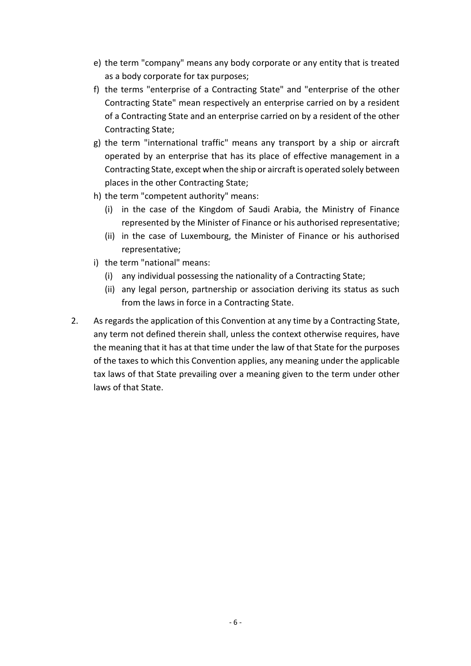- e) the term "company" means any body corporate or any entity that is treated as a body corporate for tax purposes;
- f) the terms "enterprise of a Contracting State" and "enterprise of the other Contracting State" mean respectively an enterprise carried on by a resident of a Contracting State and an enterprise carried on by a resident of the other Contracting State;
- g) the term "international traffic" means any transport by a ship or aircraft operated by an enterprise that has its place of effective management in a Contracting State, except when the ship or aircraft is operated solely between places in the other Contracting State;
- h) the term "competent authority" means:
	- (i) in the case of the Kingdom of Saudi Arabia, the Ministry of Finance represented by the Minister of Finance or his authorised representative;
	- (ii) in the case of Luxembourg, the Minister of Finance or his authorised representative;
- i) the term "national" means:
	- (i) any individual possessing the nationality of a Contracting State;
	- (ii) any legal person, partnership or association deriving its status as such from the laws in force in a Contracting State.
- 2. As regards the application of this Convention at any time by a Contracting State, any term not defined therein shall, unless the context otherwise requires, have the meaning that it has at that time under the law of that State for the purposes of the taxes to which this Convention applies, any meaning under the applicable tax laws of that State prevailing over a meaning given to the term under other laws of that State.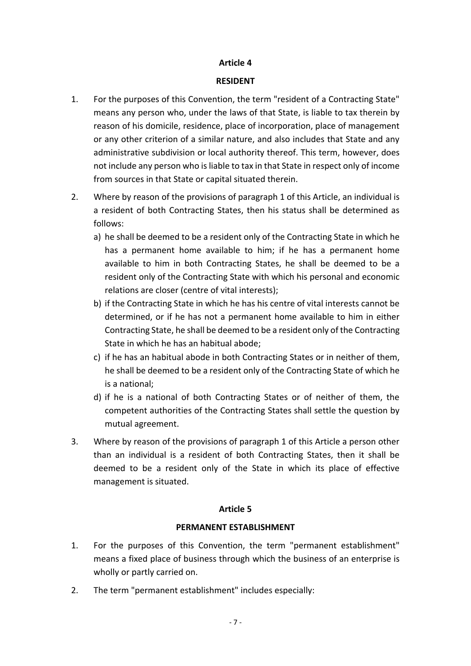#### **RESIDENT**

- 1. For the purposes of this Convention, the term "resident of a Contracting State" means any person who, under the laws of that State, is liable to tax therein by reason of his domicile, residence, place of incorporation, place of management or any other criterion of a similar nature, and also includes that State and any administrative subdivision or local authority thereof. This term, however, does not include any person who is liable to tax in that State in respect only of income from sources in that State or capital situated therein.
- 2. Where by reason of the provisions of paragraph 1 of this Article, an individual is a resident of both Contracting States, then his status shall be determined as follows:
	- a) he shall be deemed to be a resident only of the Contracting State in which he has a permanent home available to him; if he has a permanent home available to him in both Contracting States, he shall be deemed to be a resident only of the Contracting State with which his personal and economic relations are closer (centre of vital interests);
	- b) if the Contracting State in which he has his centre of vital interests cannot be determined, or if he has not a permanent home available to him in either Contracting State, he shall be deemed to be a resident only of the Contracting State in which he has an habitual abode;
	- c) if he has an habitual abode in both Contracting States or in neither of them, he shall be deemed to be a resident only of the Contracting State of which he is a national;
	- d) if he is a national of both Contracting States or of neither of them, the competent authorities of the Contracting States shall settle the question by mutual agreement.
- 3. Where by reason of the provisions of paragraph 1 of this Article a person other than an individual is a resident of both Contracting States, then it shall be deemed to be a resident only of the State in which its place of effective management is situated.

#### **Article 5**

### **PERMANENT ESTABLISHMENT**

- 1. For the purposes of this Convention, the term "permanent establishment" means a fixed place of business through which the business of an enterprise is wholly or partly carried on.
- 2. The term "permanent establishment" includes especially: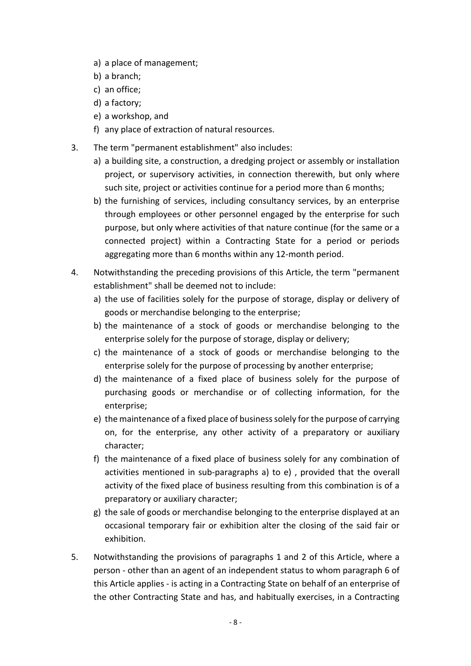- a) a place of management;
- b) a branch;
- c) an office;
- d) a factory;
- e) a workshop, and
- f) any place of extraction of natural resources.
- 3. The term "permanent establishment" also includes:
	- a) a building site, a construction, a dredging project or assembly or installation project, or supervisory activities, in connection therewith, but only where such site, project or activities continue for a period more than 6 months;
	- b) the furnishing of services, including consultancy services, by an enterprise through employees or other personnel engaged by the enterprise for such purpose, but only where activities of that nature continue (for the same or a connected project) within a Contracting State for a period or periods aggregating more than 6 months within any 12-month period.
- 4. Notwithstanding the preceding provisions of this Article, the term "permanent establishment" shall be deemed not to include:
	- a) the use of facilities solely for the purpose of storage, display or delivery of goods or merchandise belonging to the enterprise;
	- b) the maintenance of a stock of goods or merchandise belonging to the enterprise solely for the purpose of storage, display or delivery;
	- c) the maintenance of a stock of goods or merchandise belonging to the enterprise solely for the purpose of processing by another enterprise;
	- d) the maintenance of a fixed place of business solely for the purpose of purchasing goods or merchandise or of collecting information, for the enterprise;
	- e) the maintenance of a fixed place of business solely for the purpose of carrying on, for the enterprise, any other activity of a preparatory or auxiliary character;
	- f) the maintenance of a fixed place of business solely for any combination of activities mentioned in sub-paragraphs a) to e) , provided that the overall activity of the fixed place of business resulting from this combination is of a preparatory or auxiliary character;
	- g) the sale of goods or merchandise belonging to the enterprise displayed at an occasional temporary fair or exhibition alter the closing of the said fair or exhibition.
- 5. Notwithstanding the provisions of paragraphs 1 and 2 of this Article, where a person - other than an agent of an independent status to whom paragraph 6 of this Article applies - is acting in a Contracting State on behalf of an enterprise of the other Contracting State and has, and habitually exercises, in a Contracting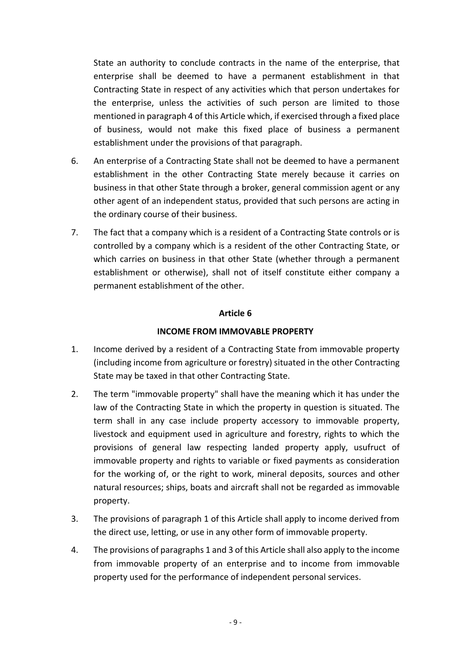State an authority to conclude contracts in the name of the enterprise, that enterprise shall be deemed to have a permanent establishment in that Contracting State in respect of any activities which that person undertakes for the enterprise, unless the activities of such person are limited to those mentioned in paragraph 4 of this Article which, if exercised through a fixed place of business, would not make this fixed place of business a permanent establishment under the provisions of that paragraph.

- 6. An enterprise of a Contracting State shall not be deemed to have a permanent establishment in the other Contracting State merely because it carries on business in that other State through a broker, general commission agent or any other agent of an independent status, provided that such persons are acting in the ordinary course of their business.
- 7. The fact that a company which is a resident of a Contracting State controls or is controlled by a company which is a resident of the other Contracting State, or which carries on business in that other State (whether through a permanent establishment or otherwise), shall not of itself constitute either company a permanent establishment of the other.

#### **Article 6**

#### **INCOME FROM IMMOVABLE PROPERTY**

- 1. Income derived by a resident of a Contracting State from immovable property (including income from agriculture or forestry) situated in the other Contracting State may be taxed in that other Contracting State.
- 2. The term "immovable property" shall have the meaning which it has under the law of the Contracting State in which the property in question is situated. The term shall in any case include property accessory to immovable property, livestock and equipment used in agriculture and forestry, rights to which the provisions of general law respecting landed property apply, usufruct of immovable property and rights to variable or fixed payments as consideration for the working of, or the right to work, mineral deposits, sources and other natural resources; ships, boats and aircraft shall not be regarded as immovable property.
- 3. The provisions of paragraph 1 of this Article shall apply to income derived from the direct use, letting, or use in any other form of immovable property.
- 4. The provisions of paragraphs 1 and 3 of this Article shall also apply to the income from immovable property of an enterprise and to income from immovable property used for the performance of independent personal services.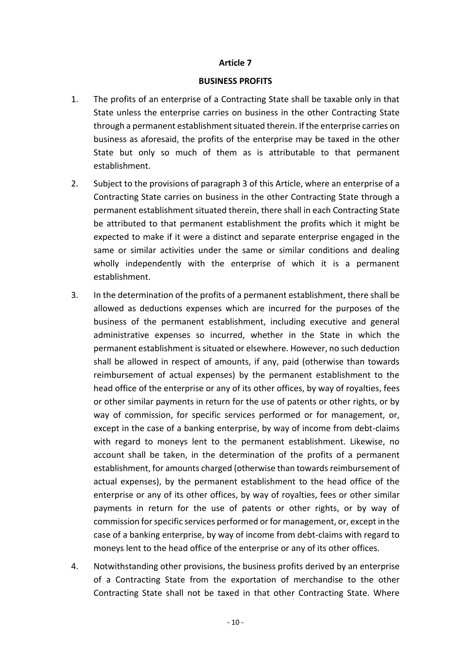#### **BUSINESS PROFITS**

- 1. The profits of an enterprise of a Contracting State shall be taxable only in that State unless the enterprise carries on business in the other Contracting State through a permanent establishment situated therein. If the enterprise carries on business as aforesaid, the profits of the enterprise may be taxed in the other State but only so much of them as is attributable to that permanent establishment.
- 2. Subject to the provisions of paragraph 3 of this Article, where an enterprise of a Contracting State carries on business in the other Contracting State through a permanent establishment situated therein, there shall in each Contracting State be attributed to that permanent establishment the profits which it might be expected to make if it were a distinct and separate enterprise engaged in the same or similar activities under the same or similar conditions and dealing wholly independently with the enterprise of which it is a permanent establishment.
- 3. In the determination of the profits of a permanent establishment, there shall be allowed as deductions expenses which are incurred for the purposes of the business of the permanent establishment, including executive and general administrative expenses so incurred, whether in the State in which the permanent establishment is situated or elsewhere. However, no such deduction shall be allowed in respect of amounts, if any, paid (otherwise than towards reimbursement of actual expenses) by the permanent establishment to the head office of the enterprise or any of its other offices, by way of royalties, fees or other similar payments in return for the use of patents or other rights, or by way of commission, for specific services performed or for management, or, except in the case of a banking enterprise, by way of income from debt-claims with regard to moneys lent to the permanent establishment. Likewise, no account shall be taken, in the determination of the profits of a permanent establishment, for amounts charged (otherwise than towards reimbursement of actual expenses), by the permanent establishment to the head office of the enterprise or any of its other offices, by way of royalties, fees or other similar payments in return for the use of patents or other rights, or by way of commission for specific services performed or for management, or, except in the case of a banking enterprise, by way of income from debt-claims with regard to moneys lent to the head office of the enterprise or any of its other offices.
- 4. Notwithstanding other provisions, the business profits derived by an enterprise of a Contracting State from the exportation of merchandise to the other Contracting State shall not be taxed in that other Contracting State. Where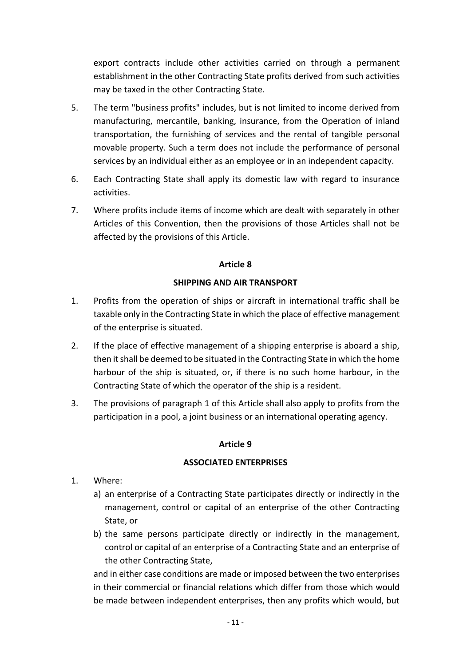export contracts include other activities carried on through a permanent establishment in the other Contracting State profits derived from such activities may be taxed in the other Contracting State.

- 5. The term "business profits" includes, but is not limited to income derived from manufacturing, mercantile, banking, insurance, from the Operation of inland transportation, the furnishing of services and the rental of tangible personal movable property. Such a term does not include the performance of personal services by an individual either as an employee or in an independent capacity.
- 6. Each Contracting State shall apply its domestic law with regard to insurance activities.
- 7. Where profits include items of income which are dealt with separately in other Articles of this Convention, then the provisions of those Articles shall not be affected by the provisions of this Article.

### **Article 8**

#### **SHIPPING AND AIR TRANSPORT**

- 1. Profits from the operation of ships or aircraft in international traffic shall be taxable only in the Contracting State in which the place of effective management of the enterprise is situated.
- 2. If the place of effective management of a shipping enterprise is aboard a ship, then it shall be deemed to be situated in the Contracting State in which the home harbour of the ship is situated, or, if there is no such home harbour, in the Contracting State of which the operator of the ship is a resident.
- 3. The provisions of paragraph 1 of this Article shall also apply to profits from the participation in a pool, a joint business or an international operating agency.

#### **Article 9**

#### **ASSOCIATED ENTERPRISES**

- 1. Where:
	- a) an enterprise of a Contracting State participates directly or indirectly in the management, control or capital of an enterprise of the other Contracting State, or
	- b) the same persons participate directly or indirectly in the management, control or capital of an enterprise of a Contracting State and an enterprise of the other Contracting State,

and in either case conditions are made or imposed between the two enterprises in their commercial or financial relations which differ from those which would be made between independent enterprises, then any profits which would, but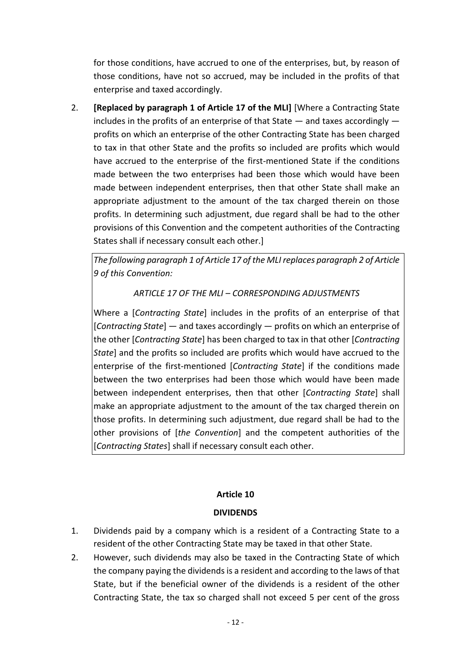for those conditions, have accrued to one of the enterprises, but, by reason of those conditions, have not so accrued, may be included in the profits of that enterprise and taxed accordingly.

2. **[Replaced by paragraph 1 of Article 17 of the MLI]** [Where a Contracting State includes in the profits of an enterprise of that State  $-$  and taxes accordingly  $$ profits on which an enterprise of the other Contracting State has been charged to tax in that other State and the profits so included are profits which would have accrued to the enterprise of the first-mentioned State if the conditions made between the two enterprises had been those which would have been made between independent enterprises, then that other State shall make an appropriate adjustment to the amount of the tax charged therein on those profits. In determining such adjustment, due regard shall be had to the other provisions of this Convention and the competent authorities of the Contracting States shall if necessary consult each other.]

*The following paragraph 1 of Article 17 of the MLI replaces paragraph 2 of Article 9 of this Convention:* 

## *ARTICLE 17 OF THE MLI – CORRESPONDING ADJUSTMENTS*

Where a [*Contracting State*] includes in the profits of an enterprise of that [*Contracting State*] — and taxes accordingly — profits on which an enterprise of the other [*Contracting State*] has been charged to tax in that other [*Contracting State*] and the profits so included are profits which would have accrued to the enterprise of the first-mentioned [*Contracting State*] if the conditions made between the two enterprises had been those which would have been made between independent enterprises, then that other [*Contracting State*] shall make an appropriate adjustment to the amount of the tax charged therein on those profits. In determining such adjustment, due regard shall be had to the other provisions of [*the Convention*] and the competent authorities of the [*Contracting States*] shall if necessary consult each other.

### **Article 10**

### **DIVIDENDS**

- 1. Dividends paid by a company which is a resident of a Contracting State to a resident of the other Contracting State may be taxed in that other State.
- 2. However, such dividends may also be taxed in the Contracting State of which the company paying the dividends is a resident and according to the laws of that State, but if the beneficial owner of the dividends is a resident of the other Contracting State, the tax so charged shall not exceed 5 per cent of the gross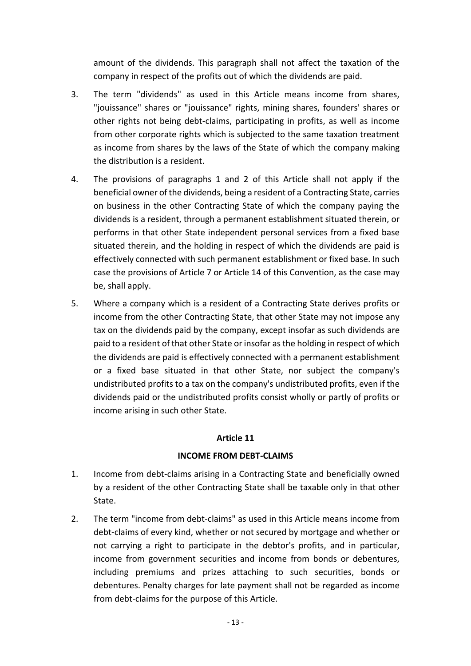amount of the dividends. This paragraph shall not affect the taxation of the company in respect of the profits out of which the dividends are paid.

- 3. The term "dividends" as used in this Article means income from shares, "jouissance" shares or "jouissance" rights, mining shares, founders' shares or other rights not being debt-claims, participating in profits, as well as income from other corporate rights which is subjected to the same taxation treatment as income from shares by the laws of the State of which the company making the distribution is a resident.
- 4. The provisions of paragraphs 1 and 2 of this Article shall not apply if the beneficial owner of the dividends, being a resident of a Contracting State, carries on business in the other Contracting State of which the company paying the dividends is a resident, through a permanent establishment situated therein, or performs in that other State independent personal services from a fixed base situated therein, and the holding in respect of which the dividends are paid is effectively connected with such permanent establishment or fixed base. In such case the provisions of Article 7 or Article 14 of this Convention, as the case may be, shall apply.
- 5. Where a company which is a resident of a Contracting State derives profits or income from the other Contracting State, that other State may not impose any tax on the dividends paid by the company, except insofar as such dividends are paid to a resident of that other State or insofar asthe holding in respect of which the dividends are paid is effectively connected with a permanent establishment or a fixed base situated in that other State, nor subject the company's undistributed profits to a tax on the company's undistributed profits, even if the dividends paid or the undistributed profits consist wholly or partly of profits or income arising in such other State.

### **Article 11**

### **INCOME FROM DEBT-CLAIMS**

- 1. Income from debt-claims arising in a Contracting State and beneficially owned by a resident of the other Contracting State shall be taxable only in that other State.
- 2. The term "income from debt-claims" as used in this Article means income from debt-claims of every kind, whether or not secured by mortgage and whether or not carrying a right to participate in the debtor's profits, and in particular, income from government securities and income from bonds or debentures, including premiums and prizes attaching to such securities, bonds or debentures. Penalty charges for late payment shall not be regarded as income from debt-claims for the purpose of this Article.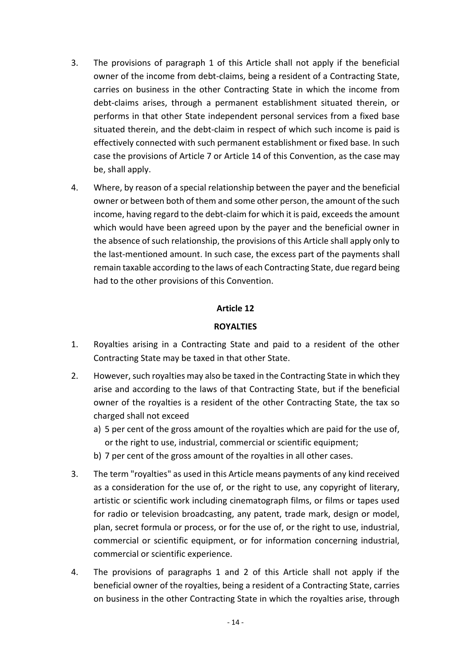- 3. The provisions of paragraph 1 of this Article shall not apply if the beneficial owner of the income from debt-claims, being a resident of a Contracting State, carries on business in the other Contracting State in which the income from debt-claims arises, through a permanent establishment situated therein, or performs in that other State independent personal services from a fixed base situated therein, and the debt-claim in respect of which such income is paid is effectively connected with such permanent establishment or fixed base. In such case the provisions of Article 7 or Article 14 of this Convention, as the case may be, shall apply.
- 4. Where, by reason of a special relationship between the payer and the beneficial owner or between both of them and some other person, the amount of the such income, having regard to the debt-claim for which it is paid, exceeds the amount which would have been agreed upon by the payer and the beneficial owner in the absence of such relationship, the provisions of this Article shall apply only to the last-mentioned amount. In such case, the excess part of the payments shall remain taxable according to the laws of each Contracting State, due regard being had to the other provisions of this Convention.

#### **ROYALTIES**

- 1. Royalties arising in a Contracting State and paid to a resident of the other Contracting State may be taxed in that other State.
- 2. However, such royalties may also be taxed in the Contracting State in which they arise and according to the laws of that Contracting State, but if the beneficial owner of the royalties is a resident of the other Contracting State, the tax so charged shall not exceed
	- a) 5 per cent of the gross amount of the royalties which are paid for the use of, or the right to use, industrial, commercial or scientific equipment;
	- b) 7 per cent of the gross amount of the royalties in all other cases.
- 3. The term "royalties" as used in this Article means payments of any kind received as a consideration for the use of, or the right to use, any copyright of literary, artistic or scientific work including cinematograph films, or films or tapes used for radio or television broadcasting, any patent, trade mark, design or model, plan, secret formula or process, or for the use of, or the right to use, industrial, commercial or scientific equipment, or for information concerning industrial, commercial or scientific experience.
- 4. The provisions of paragraphs 1 and 2 of this Article shall not apply if the beneficial owner of the royalties, being a resident of a Contracting State, carries on business in the other Contracting State in which the royalties arise, through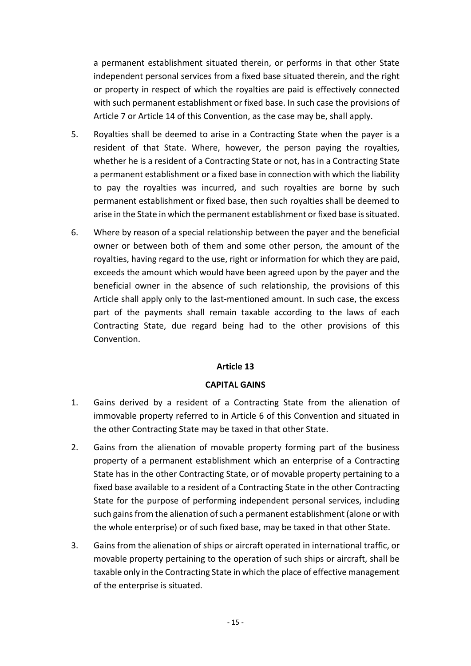a permanent establishment situated therein, or performs in that other State independent personal services from a fixed base situated therein, and the right or property in respect of which the royalties are paid is effectively connected with such permanent establishment or fixed base. In such case the provisions of Article 7 or Article 14 of this Convention, as the case may be, shall apply.

- 5. Royalties shall be deemed to arise in a Contracting State when the payer is a resident of that State. Where, however, the person paying the royalties, whether he is a resident of a Contracting State or not, has in a Contracting State a permanent establishment or a fixed base in connection with which the liability to pay the royalties was incurred, and such royalties are borne by such permanent establishment or fixed base, then such royalties shall be deemed to arise in the State in which the permanent establishment or fixed base is situated.
- 6. Where by reason of a special relationship between the payer and the beneficial owner or between both of them and some other person, the amount of the royalties, having regard to the use, right or information for which they are paid, exceeds the amount which would have been agreed upon by the payer and the beneficial owner in the absence of such relationship, the provisions of this Article shall apply only to the last-mentioned amount. In such case, the excess part of the payments shall remain taxable according to the laws of each Contracting State, due regard being had to the other provisions of this Convention.

### **Article 13**

#### **CAPITAL GAINS**

- 1. Gains derived by a resident of a Contracting State from the alienation of immovable property referred to in Article 6 of this Convention and situated in the other Contracting State may be taxed in that other State.
- 2. Gains from the alienation of movable property forming part of the business property of a permanent establishment which an enterprise of a Contracting State has in the other Contracting State, or of movable property pertaining to a fixed base available to a resident of a Contracting State in the other Contracting State for the purpose of performing independent personal services, including such gains from the alienation of such a permanent establishment (alone or with the whole enterprise) or of such fixed base, may be taxed in that other State.
- 3. Gains from the alienation of ships or aircraft operated in international traffic, or movable property pertaining to the operation of such ships or aircraft, shall be taxable only in the Contracting State in which the place of effective management of the enterprise is situated.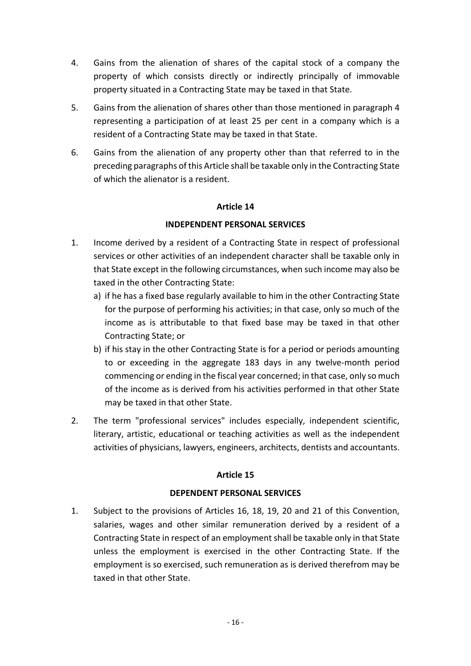- 4. Gains from the alienation of shares of the capital stock of a company the property of which consists directly or indirectly principally of immovable property situated in a Contracting State may be taxed in that State.
- 5. Gains from the alienation of shares other than those mentioned in paragraph 4 representing a participation of at least 25 per cent in a company which is a resident of a Contracting State may be taxed in that State.
- 6. Gains from the alienation of any property other than that referred to in the preceding paragraphs of this Article shall be taxable only in the Contracting State of which the alienator is a resident.

#### **INDEPENDENT PERSONAL SERVICES**

- 1. Income derived by a resident of a Contracting State in respect of professional services or other activities of an independent character shall be taxable only in that State except in the following circumstances, when such income may also be taxed in the other Contracting State:
	- a) if he has a fixed base regularly available to him in the other Contracting State for the purpose of performing his activities; in that case, only so much of the income as is attributable to that fixed base may be taxed in that other Contracting State; or
	- b) if his stay in the other Contracting State is for a period or periods amounting to or exceeding in the aggregate 183 days in any twelve-month period commencing or ending in the fiscal year concerned; in that case, only so much of the income as is derived from his activities performed in that other State may be taxed in that other State.
- 2. The term "professional services" includes especially, independent scientific, literary, artistic, educational or teaching activities as well as the independent activities of physicians, lawyers, engineers, architects, dentists and accountants.

### **Article 15**

#### **DEPENDENT PERSONAL SERVICES**

1. Subject to the provisions of Articles 16, 18, 19, 20 and 21 of this Convention, salaries, wages and other similar remuneration derived by a resident of a Contracting State in respect of an employment shall be taxable only in that State unless the employment is exercised in the other Contracting State. If the employment is so exercised, such remuneration as is derived therefrom may be taxed in that other State.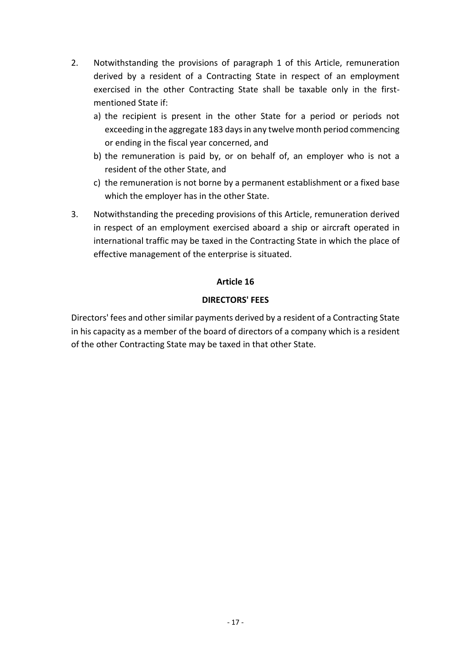- 2. Notwithstanding the provisions of paragraph 1 of this Article, remuneration derived by a resident of a Contracting State in respect of an employment exercised in the other Contracting State shall be taxable only in the firstmentioned State if:
	- a) the recipient is present in the other State for a period or periods not exceeding in the aggregate 183 days in any twelve month period commencing or ending in the fiscal year concerned, and
	- b) the remuneration is paid by, or on behalf of, an employer who is not a resident of the other State, and
	- c) the remuneration is not borne by a permanent establishment or a fixed base which the employer has in the other State.
- 3. Notwithstanding the preceding provisions of this Article, remuneration derived in respect of an employment exercised aboard a ship or aircraft operated in international traffic may be taxed in the Contracting State in which the place of effective management of the enterprise is situated.

### **DIRECTORS' FEES**

Directors' fees and other similar payments derived by a resident of a Contracting State in his capacity as a member of the board of directors of a company which is a resident of the other Contracting State may be taxed in that other State.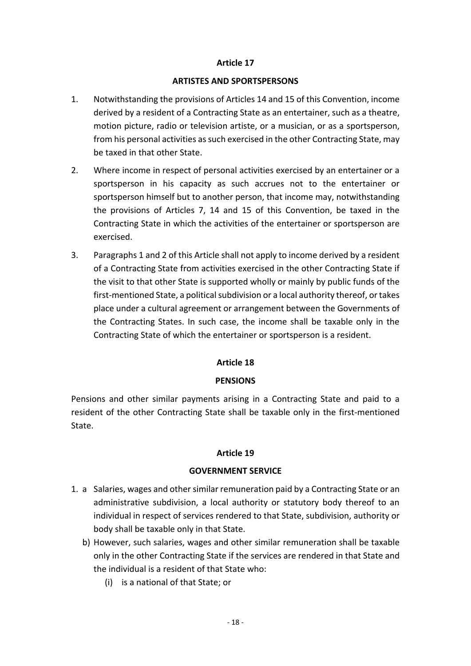#### **ARTISTES AND SPORTSPERSONS**

- 1. Notwithstanding the provisions of Articles 14 and 15 of this Convention, income derived by a resident of a Contracting State as an entertainer, such as a theatre, motion picture, radio or television artiste, or a musician, or as a sportsperson, from his personal activities as such exercised in the other Contracting State, may be taxed in that other State.
- 2. Where income in respect of personal activities exercised by an entertainer or a sportsperson in his capacity as such accrues not to the entertainer or sportsperson himself but to another person, that income may, notwithstanding the provisions of Articles 7, 14 and 15 of this Convention, be taxed in the Contracting State in which the activities of the entertainer or sportsperson are exercised.
- 3. Paragraphs 1 and 2 of this Article shall not apply to income derived by a resident of a Contracting State from activities exercised in the other Contracting State if the visit to that other State is supported wholly or mainly by public funds of the first-mentioned State, a political subdivision or a local authority thereof, or takes place under a cultural agreement or arrangement between the Governments of the Contracting States. In such case, the income shall be taxable only in the Contracting State of which the entertainer or sportsperson is a resident.

#### **Article 18**

### **PENSIONS**

Pensions and other similar payments arising in a Contracting State and paid to a resident of the other Contracting State shall be taxable only in the first-mentioned State.

### **Article 19**

#### **GOVERNMENT SERVICE**

- 1. a Salaries, wages and other similar remuneration paid by a Contracting State or an administrative subdivision, a local authority or statutory body thereof to an individual in respect of services rendered to that State, subdivision, authority or body shall be taxable only in that State.
	- b) However, such salaries, wages and other similar remuneration shall be taxable only in the other Contracting State if the services are rendered in that State and the individual is a resident of that State who:
		- (i) is a national of that State; or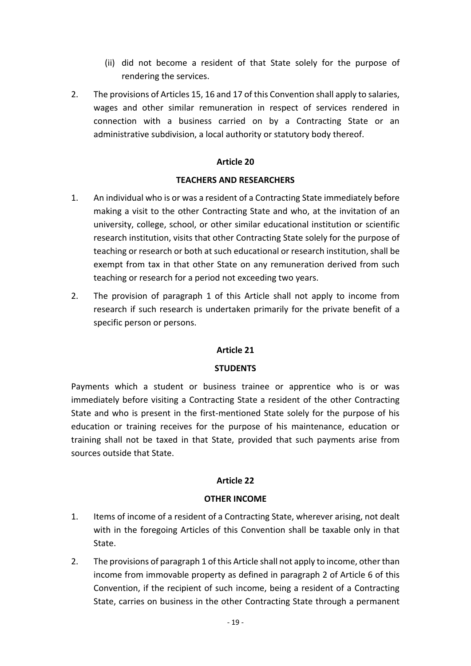- (ii) did not become a resident of that State solely for the purpose of rendering the services.
- 2. The provisions of Articles 15, 16 and 17 of this Convention shall apply to salaries, wages and other similar remuneration in respect of services rendered in connection with a business carried on by a Contracting State or an administrative subdivision, a local authority or statutory body thereof.

#### **TEACHERS AND RESEARCHERS**

- 1. An individual who is or was a resident of a Contracting State immediately before making a visit to the other Contracting State and who, at the invitation of an university, college, school, or other similar educational institution or scientific research institution, visits that other Contracting State solely for the purpose of teaching or research or both at such educational or research institution, shall be exempt from tax in that other State on any remuneration derived from such teaching or research for a period not exceeding two years.
- 2. The provision of paragraph 1 of this Article shall not apply to income from research if such research is undertaken primarily for the private benefit of a specific person or persons.

#### **Article 21**

#### **STUDENTS**

Payments which a student or business trainee or apprentice who is or was immediately before visiting a Contracting State a resident of the other Contracting State and who is present in the first-mentioned State solely for the purpose of his education or training receives for the purpose of his maintenance, education or training shall not be taxed in that State, provided that such payments arise from sources outside that State.

### **Article 22**

### **OTHER INCOME**

- 1. Items of income of a resident of a Contracting State, wherever arising, not dealt with in the foregoing Articles of this Convention shall be taxable only in that State.
- 2. The provisions of paragraph 1 of this Article shall not apply to income, other than income from immovable property as defined in paragraph 2 of Article 6 of this Convention, if the recipient of such income, being a resident of a Contracting State, carries on business in the other Contracting State through a permanent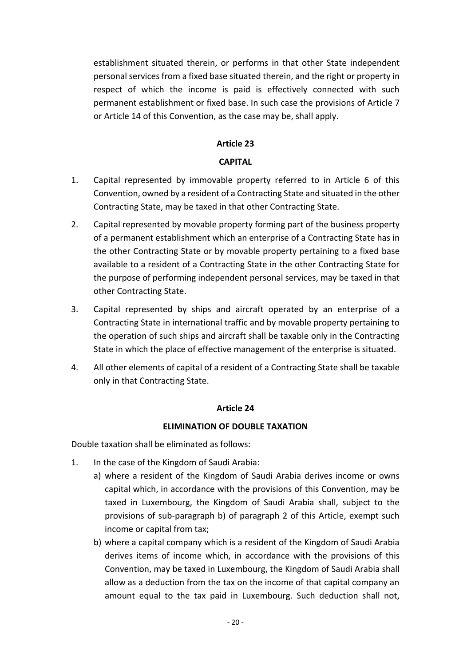establishment situated therein, or performs in that other State independent personal services from a fixed base situated therein, and the right or property in respect of which the income is paid is effectively connected with such permanent establishment or fixed base. In such case the provisions of Article 7 or Article 14 of this Convention, as the case may be, shall apply.

### **Article 23**

### **CAPITAL**

- 1. Capital represented by immovable property referred to in Article 6 of this Convention, owned by a resident of a Contracting State and situated in the other Contracting State, may be taxed in that other Contracting State.
- 2. Capital represented by movable property forming part of the business property of a permanent establishment which an enterprise of a Contracting State has in the other Contracting State or by movable property pertaining to a fixed base available to a resident of a Contracting State in the other Contracting State for the purpose of performing independent personal services, may be taxed in that other Contracting State.
- 3. Capital represented by ships and aircraft operated by an enterprise of a Contracting State in international traffic and by movable property pertaining to the operation of such ships and aircraft shall be taxable only in the Contracting State in which the place of effective management of the enterprise is situated.
- 4. All other elements of capital of a resident of a Contracting State shall be taxable only in that Contracting State.

#### **Article 24**

#### **ELIMINATION OF DOUBLE TAXATION**

Double taxation shall be eliminated as follows:

- 1. In the case of the Kingdom of Saudi Arabia:
	- a) where a resident of the Kingdom of Saudi Arabia derives income or owns capital which, in accordance with the provisions of this Convention, may be taxed in Luxembourg, the Kingdom of Saudi Arabia shall, subject to the provisions of sub-paragraph b) of paragraph 2 of this Article, exempt such income or capital from tax;
	- b) where a capital company which is a resident of the Kingdom of Saudi Arabia derives items of income which, in accordance with the provisions of this Convention, may be taxed in Luxembourg, the Kingdom of Saudi Arabia shall allow as a deduction from the tax on the income of that capital company an amount equal to the tax paid in Luxembourg. Such deduction shall not,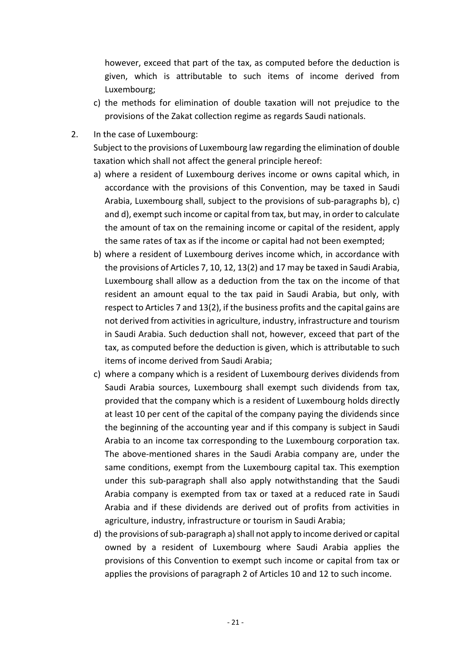however, exceed that part of the tax, as computed before the deduction is given, which is attributable to such items of income derived from Luxembourg;

- c) the methods for elimination of double taxation will not prejudice to the provisions of the Zakat collection regime as regards Saudi nationals.
- 2. In the case of Luxembourg:

Subject to the provisions of Luxembourg law regarding the elimination of double taxation which shall not affect the general principle hereof:

- a) where a resident of Luxembourg derives income or owns capital which, in accordance with the provisions of this Convention, may be taxed in Saudi Arabia, Luxembourg shall, subject to the provisions of sub-paragraphs b), c) and d), exempt such income or capital from tax, but may, in order to calculate the amount of tax on the remaining income or capital of the resident, apply the same rates of tax as if the income or capital had not been exempted;
- b) where a resident of Luxembourg derives income which, in accordance with the provisions of Articles 7, 10, 12, 13(2) and 17 may be taxed in Saudi Arabia, Luxembourg shall allow as a deduction from the tax on the income of that resident an amount equal to the tax paid in Saudi Arabia, but only, with respect to Articles 7 and 13(2), if the business profits and the capital gains are not derived from activities in agriculture, industry, infrastructure and tourism in Saudi Arabia. Such deduction shall not, however, exceed that part of the tax, as computed before the deduction is given, which is attributable to such items of income derived from Saudi Arabia;
- c) where a company which is a resident of Luxembourg derives dividends from Saudi Arabia sources, Luxembourg shall exempt such dividends from tax, provided that the company which is a resident of Luxembourg holds directly at least 10 per cent of the capital of the company paying the dividends since the beginning of the accounting year and if this company is subject in Saudi Arabia to an income tax corresponding to the Luxembourg corporation tax. The above-mentioned shares in the Saudi Arabia company are, under the same conditions, exempt from the Luxembourg capital tax. This exemption under this sub-paragraph shall also apply notwithstanding that the Saudi Arabia company is exempted from tax or taxed at a reduced rate in Saudi Arabia and if these dividends are derived out of profits from activities in agriculture, industry, infrastructure or tourism in Saudi Arabia;
- d) the provisions of sub-paragraph a) shall not apply to income derived or capital owned by a resident of Luxembourg where Saudi Arabia applies the provisions of this Convention to exempt such income or capital from tax or applies the provisions of paragraph 2 of Articles 10 and 12 to such income.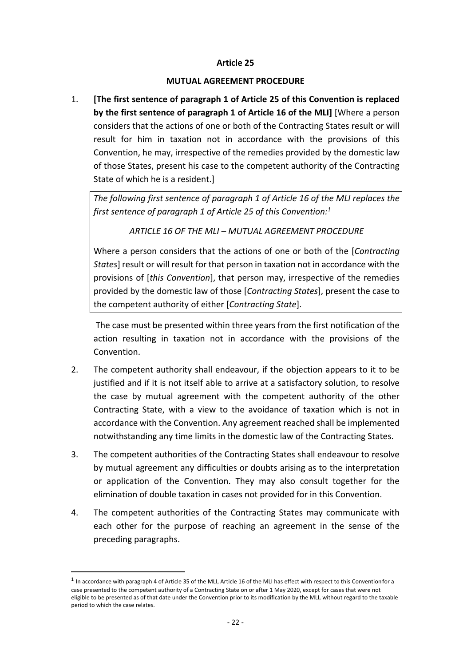#### **MUTUAL AGREEMENT PROCEDURE**

1. **[The first sentence of paragraph 1 of Article 25 of this Convention is replaced by the first sentence of paragraph 1 of Article 16 of the MLI]** [Where a person considers that the actions of one or both of the Contracting States result or will result for him in taxation not in accordance with the provisions of this Convention, he may, irrespective of the remedies provided by the domestic law of those States, present his case to the competent authority of the Contracting State of which he is a resident.]

*The following first sentence of paragraph 1 of Article 16 of the MLI replaces the first sentence of paragraph 1 of Article 25 of this Convention:<sup>1</sup>*

*ARTICLE 16 OF THE MLI – MUTUAL AGREEMENT PROCEDURE*

Where a person considers that the actions of one or both of the [*Contracting States*] result or will result for that person in taxation not in accordance with the provisions of [*this Convention*], that person may, irrespective of the remedies provided by the domestic law of those [*Contracting States*], present the case to the competent authority of either [*Contracting State*].

The case must be presented within three years from the first notification of the action resulting in taxation not in accordance with the provisions of the Convention.

- 2. The competent authority shall endeavour, if the objection appears to it to be justified and if it is not itself able to arrive at a satisfactory solution, to resolve the case by mutual agreement with the competent authority of the other Contracting State, with a view to the avoidance of taxation which is not in accordance with the Convention. Any agreement reached shall be implemented notwithstanding any time limits in the domestic law of the Contracting States.
- 3. The competent authorities of the Contracting States shall endeavour to resolve by mutual agreement any difficulties or doubts arising as to the interpretation or application of the Convention. They may also consult together for the elimination of double taxation in cases not provided for in this Convention.
- 4. The competent authorities of the Contracting States may communicate with each other for the purpose of reaching an agreement in the sense of the preceding paragraphs.

1

 $1$  In accordance with paragraph 4 of Article 35 of the MLI, Article 16 of the MLI has effect with respect to this Convention for a case presented to the competent authority of a Contracting State on or after 1 May 2020, except for cases that were not eligible to be presented as of that date under the Convention prior to its modification by the MLI, without regard to the taxable period to which the case relates.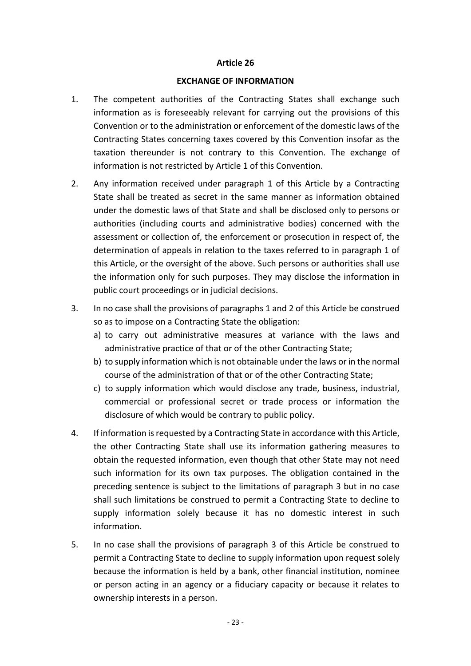#### **EXCHANGE OF INFORMATION**

- 1. The competent authorities of the Contracting States shall exchange such information as is foreseeably relevant for carrying out the provisions of this Convention or to the administration or enforcement of the domestic laws of the Contracting States concerning taxes covered by this Convention insofar as the taxation thereunder is not contrary to this Convention. The exchange of information is not restricted by Article 1 of this Convention.
- 2. Any information received under paragraph 1 of this Article by a Contracting State shall be treated as secret in the same manner as information obtained under the domestic laws of that State and shall be disclosed only to persons or authorities (including courts and administrative bodies) concerned with the assessment or collection of, the enforcement or prosecution in respect of, the determination of appeals in relation to the taxes referred to in paragraph 1 of this Article, or the oversight of the above. Such persons or authorities shall use the information only for such purposes. They may disclose the information in public court proceedings or in judicial decisions.
- 3. In no case shall the provisions of paragraphs 1 and 2 of this Article be construed so as to impose on a Contracting State the obligation:
	- a) to carry out administrative measures at variance with the laws and administrative practice of that or of the other Contracting State;
	- b) to supply information which is not obtainable under the laws or in the normal course of the administration of that or of the other Contracting State;
	- c) to supply information which would disclose any trade, business, industrial, commercial or professional secret or trade process or information the disclosure of which would be contrary to public policy.
- 4. If information is requested by a Contracting State in accordance with this Article, the other Contracting State shall use its information gathering measures to obtain the requested information, even though that other State may not need such information for its own tax purposes. The obligation contained in the preceding sentence is subject to the limitations of paragraph 3 but in no case shall such limitations be construed to permit a Contracting State to decline to supply information solely because it has no domestic interest in such information.
- 5. In no case shall the provisions of paragraph 3 of this Article be construed to permit a Contracting State to decline to supply information upon request solely because the information is held by a bank, other financial institution, nominee or person acting in an agency or a fiduciary capacity or because it relates to ownership interests in a person.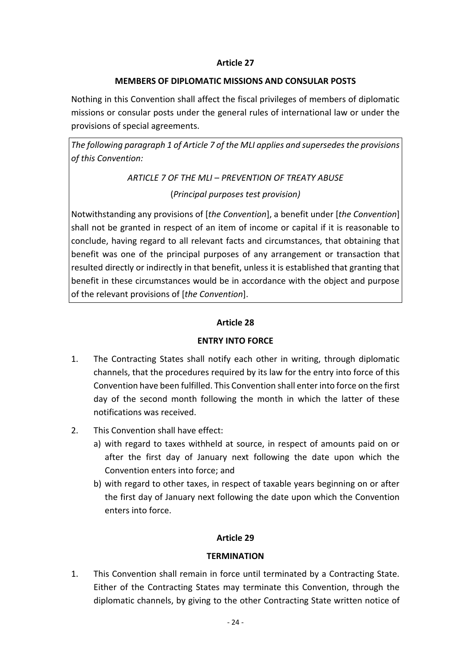### **MEMBERS OF DIPLOMATIC MISSIONS AND CONSULAR POSTS**

Nothing in this Convention shall affect the fiscal privileges of members of diplomatic missions or consular posts under the general rules of international law or under the provisions of special agreements.

*The following paragraph 1 of Article 7 of the MLI applies and supersedes the provisions of this Convention:*

> *ARTICLE 7 OF THE MLI – PREVENTION OF TREATY ABUSE* (*Principal purposes test provision)*

Notwithstanding any provisions of [*the Convention*], a benefit under [*the Convention*] shall not be granted in respect of an item of income or capital if it is reasonable to conclude, having regard to all relevant facts and circumstances, that obtaining that benefit was one of the principal purposes of any arrangement or transaction that resulted directly or indirectly in that benefit, unless it is established that granting that benefit in these circumstances would be in accordance with the object and purpose of the relevant provisions of [*the Convention*].

### **Article 28**

### **ENTRY INTO FORCE**

- 1. The Contracting States shall notify each other in writing, through diplomatic channels, that the procedures required by its law for the entry into force of this Convention have been fulfilled. This Convention shall enter into force on the first day of the second month following the month in which the latter of these notifications was received.
- 2. This Convention shall have effect:
	- a) with regard to taxes withheld at source, in respect of amounts paid on or after the first day of January next following the date upon which the Convention enters into force; and
	- b) with regard to other taxes, in respect of taxable years beginning on or after the first day of January next following the date upon which the Convention enters into force.

## **Article 29**

### **TERMINATION**

1. This Convention shall remain in force until terminated by a Contracting State. Either of the Contracting States may terminate this Convention, through the diplomatic channels, by giving to the other Contracting State written notice of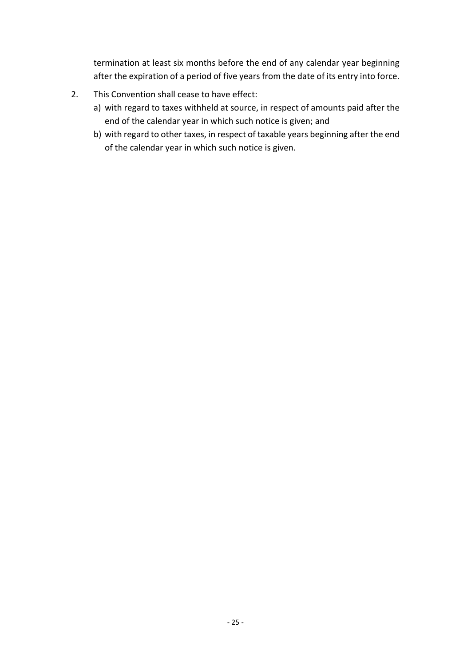termination at least six months before the end of any calendar year beginning after the expiration of a period of five years from the date of its entry into force.

- 2. This Convention shall cease to have effect:
	- a) with regard to taxes withheld at source, in respect of amounts paid after the end of the calendar year in which such notice is given; and
	- b) with regard to other taxes, in respect of taxable years beginning after the end of the calendar year in which such notice is given.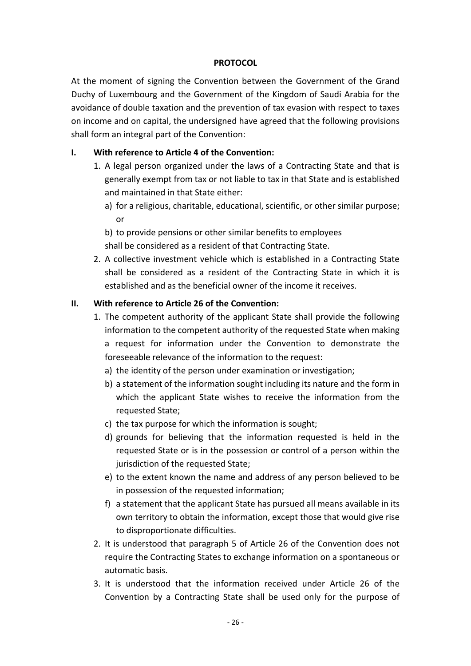#### **PROTOCOL**

At the moment of signing the Convention between the Government of the Grand Duchy of Luxembourg and the Government of the Kingdom of Saudi Arabia for the avoidance of double taxation and the prevention of tax evasion with respect to taxes on income and on capital, the undersigned have agreed that the following provisions shall form an integral part of the Convention:

### **I. With reference to Article 4 of the Convention:**

- 1. A legal person organized under the laws of a Contracting State and that is generally exempt from tax or not liable to tax in that State and is established and maintained in that State either:
	- a) for a religious, charitable, educational, scientific, or other similar purpose; or
	- b) to provide pensions or other similar benefits to employees
	- shall be considered as a resident of that Contracting State.
- 2. A collective investment vehicle which is established in a Contracting State shall be considered as a resident of the Contracting State in which it is established and as the beneficial owner of the income it receives.

### **II. With reference to Article 26 of the Convention:**

- 1. The competent authority of the applicant State shall provide the following information to the competent authority of the requested State when making a request for information under the Convention to demonstrate the foreseeable relevance of the information to the request:
	- a) the identity of the person under examination or investigation;
	- b) a statement of the information sought including its nature and the form in which the applicant State wishes to receive the information from the requested State;
	- c) the tax purpose for which the information is sought;
	- d) grounds for believing that the information requested is held in the requested State or is in the possession or control of a person within the jurisdiction of the requested State;
	- e) to the extent known the name and address of any person believed to be in possession of the requested information;
	- f) a statement that the applicant State has pursued all means available in its own territory to obtain the information, except those that would give rise to disproportionate difficulties.
- 2. It is understood that paragraph 5 of Article 26 of the Convention does not require the Contracting States to exchange information on a spontaneous or automatic basis.
- 3. It is understood that the information received under Article 26 of the Convention by a Contracting State shall be used only for the purpose of